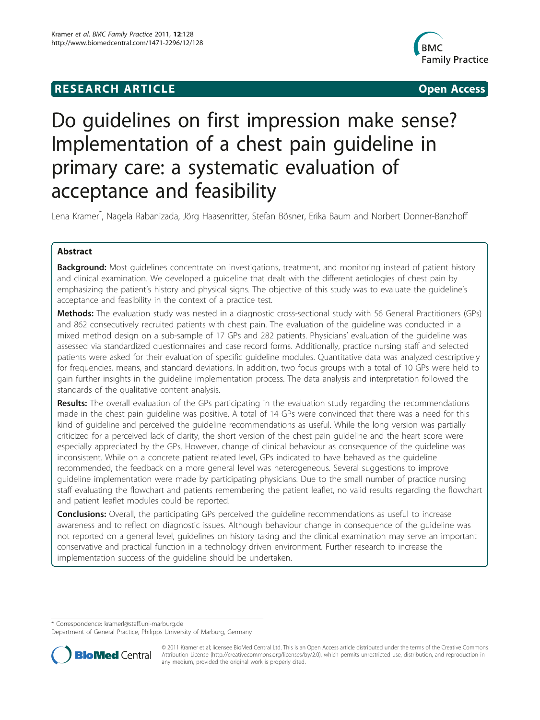## **RESEARCH ARTICLE Example 2018 12:00 Open Access**



# Do guidelines on first impression make sense? Implementation of a chest pain guideline in primary care: a systematic evaluation of acceptance and feasibility

Lena Kramer\* , Nagela Rabanizada, Jörg Haasenritter, Stefan Bösner, Erika Baum and Norbert Donner-Banzhoff

## Abstract

**Background:** Most guidelines concentrate on investigations, treatment, and monitoring instead of patient history and clinical examination. We developed a guideline that dealt with the different aetiologies of chest pain by emphasizing the patient's history and physical signs. The objective of this study was to evaluate the guideline's acceptance and feasibility in the context of a practice test.

Methods: The evaluation study was nested in a diagnostic cross-sectional study with 56 General Practitioners (GPs) and 862 consecutively recruited patients with chest pain. The evaluation of the guideline was conducted in a mixed method design on a sub-sample of 17 GPs and 282 patients. Physicians' evaluation of the guideline was assessed via standardized questionnaires and case record forms. Additionally, practice nursing staff and selected patients were asked for their evaluation of specific guideline modules. Quantitative data was analyzed descriptively for frequencies, means, and standard deviations. In addition, two focus groups with a total of 10 GPs were held to gain further insights in the guideline implementation process. The data analysis and interpretation followed the standards of the qualitative content analysis.

Results: The overall evaluation of the GPs participating in the evaluation study regarding the recommendations made in the chest pain guideline was positive. A total of 14 GPs were convinced that there was a need for this kind of guideline and perceived the guideline recommendations as useful. While the long version was partially criticized for a perceived lack of clarity, the short version of the chest pain guideline and the heart score were especially appreciated by the GPs. However, change of clinical behaviour as consequence of the guideline was inconsistent. While on a concrete patient related level, GPs indicated to have behaved as the guideline recommended, the feedback on a more general level was heterogeneous. Several suggestions to improve guideline implementation were made by participating physicians. Due to the small number of practice nursing staff evaluating the flowchart and patients remembering the patient leaflet, no valid results regarding the flowchart and patient leaflet modules could be reported.

**Conclusions:** Overall, the participating GPs perceived the guideline recommendations as useful to increase awareness and to reflect on diagnostic issues. Although behaviour change in consequence of the guideline was not reported on a general level, guidelines on history taking and the clinical examination may serve an important conservative and practical function in a technology driven environment. Further research to increase the implementation success of the guideline should be undertaken.

\* Correspondence: [kramerl@staff.uni-marburg.de](mailto:kramerl@staff.uni-marburg.de)

Department of General Practice, Philipps University of Marburg, Germany



© 2011 Kramer et al; licensee BioMed Central Ltd. This is an Open Access article distributed under the terms of the Creative Commons Attribution License [\(http://creativecommons.org/licenses/by/2.0](http://creativecommons.org/licenses/by/2.0)), which permits unrestricted use, distribution, and reproduction in any medium, provided the original work is properly cited.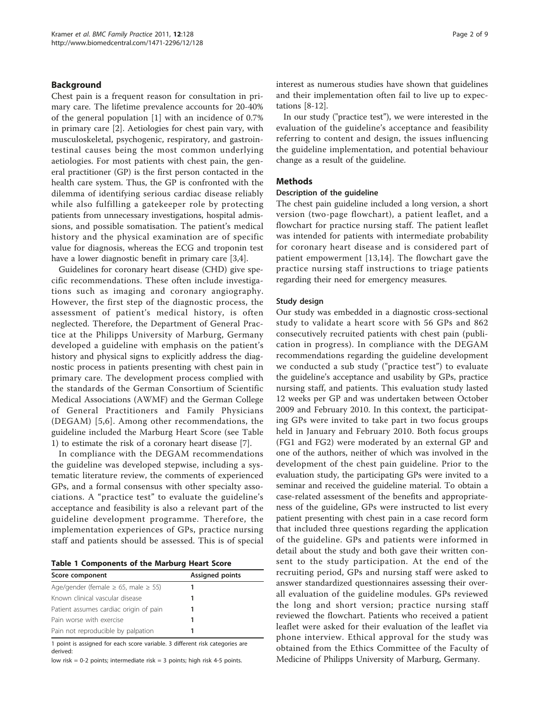## <span id="page-1-0"></span>Background

Chest pain is a frequent reason for consultation in primary care. The lifetime prevalence accounts for 20-40% of the general population [\[1](#page-7-0)] with an incidence of 0.7% in primary care [\[2\]](#page-7-0). Aetiologies for chest pain vary, with musculoskeletal, psychogenic, respiratory, and gastrointestinal causes being the most common underlying aetiologies. For most patients with chest pain, the general practitioner (GP) is the first person contacted in the health care system. Thus, the GP is confronted with the dilemma of identifying serious cardiac disease reliably while also fulfilling a gatekeeper role by protecting patients from unnecessary investigations, hospital admissions, and possible somatisation. The patient's medical history and the physical examination are of specific value for diagnosis, whereas the ECG and troponin test have a lower diagnostic benefit in primary care [[3,4\]](#page-7-0).

Guidelines for coronary heart disease (CHD) give specific recommendations. These often include investigations such as imaging and coronary angiography. However, the first step of the diagnostic process, the assessment of patient's medical history, is often neglected. Therefore, the Department of General Practice at the Philipps University of Marburg, Germany developed a guideline with emphasis on the patient's history and physical signs to explicitly address the diagnostic process in patients presenting with chest pain in primary care. The development process complied with the standards of the German Consortium of Scientific Medical Associations (AWMF) and the German College of General Practitioners and Family Physicians (DEGAM) [[5](#page-7-0),[6](#page-7-0)]. Among other recommendations, the guideline included the Marburg Heart Score (see Table 1) to estimate the risk of a coronary heart disease [[7\]](#page-7-0).

In compliance with the DEGAM recommendations the guideline was developed stepwise, including a systematic literature review, the comments of experienced GPs, and a formal consensus with other specialty associations. A "practice test" to evaluate the guideline's acceptance and feasibility is also a relevant part of the guideline development programme. Therefore, the implementation experiences of GPs, practice nursing staff and patients should be assessed. This is of special

|  |  | Table 1 Components of the Marburg Heart Score |  |  |  |  |  |
|--|--|-----------------------------------------------|--|--|--|--|--|
|--|--|-----------------------------------------------|--|--|--|--|--|

| Score component                               | <b>Assigned points</b> |
|-----------------------------------------------|------------------------|
| Age/gender (female $\geq$ 65, male $\geq$ 55) |                        |
| Known clinical vascular disease               |                        |
| Patient assumes cardiac origin of pain        |                        |
| Pain worse with exercise                      |                        |
| Pain not reproducible by palpation            |                        |

1 point is assigned for each score variable. 3 different risk categories are derived:

low risk =  $0-2$  points; intermediate risk = 3 points; high risk 4-5 points.

interest as numerous studies have shown that guidelines and their implementation often fail to live up to expectations [[8-12\]](#page-7-0).

In our study ("practice test"), we were interested in the evaluation of the guideline's acceptance and feasibility referring to content and design, the issues influencing the guideline implementation, and potential behaviour change as a result of the guideline.

## Methods

#### Description of the guideline

The chest pain guideline included a long version, a short version (two-page flowchart), a patient leaflet, and a flowchart for practice nursing staff. The patient leaflet was intended for patients with intermediate probability for coronary heart disease and is considered part of patient empowerment [\[13,14](#page-7-0)]. The flowchart gave the practice nursing staff instructions to triage patients regarding their need for emergency measures.

#### Study design

Our study was embedded in a diagnostic cross-sectional study to validate a heart score with 56 GPs and 862 consecutively recruited patients with chest pain (publication in progress). In compliance with the DEGAM recommendations regarding the guideline development we conducted a sub study ("practice test") to evaluate the guideline's acceptance and usability by GPs, practice nursing staff, and patients. This evaluation study lasted 12 weeks per GP and was undertaken between October 2009 and February 2010. In this context, the participating GPs were invited to take part in two focus groups held in January and February 2010. Both focus groups (FG1 and FG2) were moderated by an external GP and one of the authors, neither of which was involved in the development of the chest pain guideline. Prior to the evaluation study, the participating GPs were invited to a seminar and received the guideline material. To obtain a case-related assessment of the benefits and appropriateness of the guideline, GPs were instructed to list every patient presenting with chest pain in a case record form that included three questions regarding the application of the guideline. GPs and patients were informed in detail about the study and both gave their written consent to the study participation. At the end of the recruiting period, GPs and nursing staff were asked to answer standardized questionnaires assessing their overall evaluation of the guideline modules. GPs reviewed the long and short version; practice nursing staff reviewed the flowchart. Patients who received a patient leaflet were asked for their evaluation of the leaflet via phone interview. Ethical approval for the study was obtained from the Ethics Committee of the Faculty of Medicine of Philipps University of Marburg, Germany.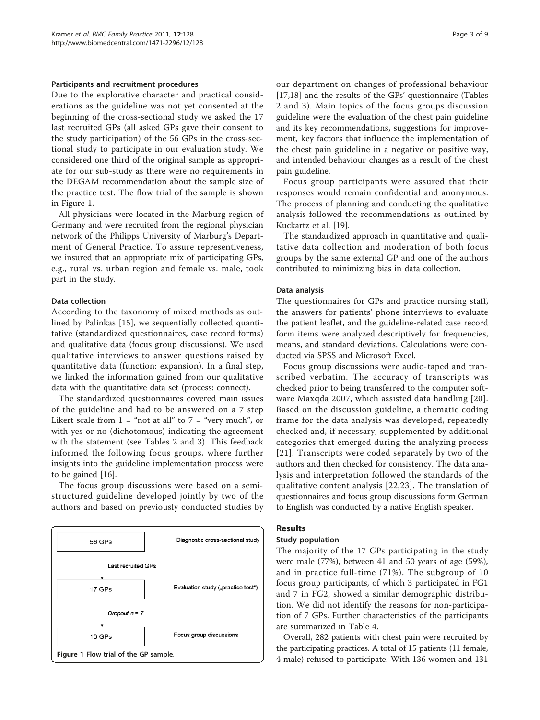#### Participants and recruitment procedures

Due to the explorative character and practical considerations as the guideline was not yet consented at the beginning of the cross-sectional study we asked the 17 last recruited GPs (all asked GPs gave their consent to the study participation) of the 56 GPs in the cross-sectional study to participate in our evaluation study. We considered one third of the original sample as appropriate for our sub-study as there were no requirements in the DEGAM recommendation about the sample size of the practice test. The flow trial of the sample is shown in Figure 1.

All physicians were located in the Marburg region of Germany and were recruited from the regional physician network of the Philipps University of Marburg's Department of General Practice. To assure representiveness, we insured that an appropriate mix of participating GPs, e.g., rural vs. urban region and female vs. male, took part in the study.

## Data collection

According to the taxonomy of mixed methods as outlined by Palinkas [\[15](#page-7-0)], we sequentially collected quantitative (standardized questionnaires, case record forms) and qualitative data (focus group discussions). We used qualitative interviews to answer questions raised by quantitative data (function: expansion). In a final step, we linked the information gained from our qualitative data with the quantitative data set (process: connect).

The standardized questionnaires covered main issues of the guideline and had to be answered on a 7 step Likert scale from  $1 =$  "not at all" to  $7 =$  "very much", or with yes or no (dichotomous) indicating the agreement with the statement (see Tables [2](#page-3-0) and [3\)](#page-3-0). This feedback informed the following focus groups, where further insights into the guideline implementation process were to be gained [[16\]](#page-7-0).

The focus group discussions were based on a semistructured guideline developed jointly by two of the authors and based on previously conducted studies by



our department on changes of professional behaviour [[17,18\]](#page-7-0) and the results of the GPs' questionnaire (Tables [2](#page-3-0) and [3](#page-3-0)). Main topics of the focus groups discussion guideline were the evaluation of the chest pain guideline and its key recommendations, suggestions for improvement, key factors that influence the implementation of the chest pain guideline in a negative or positive way, and intended behaviour changes as a result of the chest pain guideline.

Focus group participants were assured that their responses would remain confidential and anonymous. The process of planning and conducting the qualitative analysis followed the recommendations as outlined by Kuckartz et al. [[19](#page-7-0)].

The standardized approach in quantitative and qualitative data collection and moderation of both focus groups by the same external GP and one of the authors contributed to minimizing bias in data collection.

#### Data analysis

The questionnaires for GPs and practice nursing staff, the answers for patients' phone interviews to evaluate the patient leaflet, and the guideline-related case record form items were analyzed descriptively for frequencies, means, and standard deviations. Calculations were conducted via SPSS and Microsoft Excel.

Focus group discussions were audio-taped and transcribed verbatim. The accuracy of transcripts was checked prior to being transferred to the computer software Maxqda 2007, which assisted data handling [[20\]](#page-7-0). Based on the discussion guideline, a thematic coding frame for the data analysis was developed, repeatedly checked and, if necessary, supplemented by additional categories that emerged during the analyzing process [[21\]](#page-7-0). Transcripts were coded separately by two of the authors and then checked for consistency. The data analysis and interpretation followed the standards of the qualitative content analysis [[22,23\]](#page-8-0). The translation of questionnaires and focus group discussions form German to English was conducted by a native English speaker.

## Results

#### Study population

The majority of the 17 GPs participating in the study were male (77%), between 41 and 50 years of age (59%), and in practice full-time (71%). The subgroup of 10 focus group participants, of which 3 participated in FG1 and 7 in FG2, showed a similar demographic distribution. We did not identify the reasons for non-participation of 7 GPs. Further characteristics of the participants are summarized in Table [4.](#page-4-0)

Overall, 282 patients with chest pain were recruited by the participating practices. A total of 15 patients (11 female,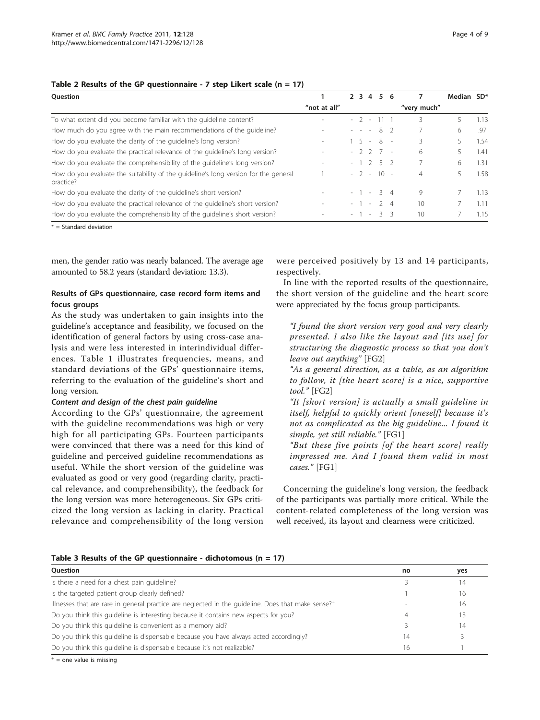#### <span id="page-3-0"></span>Table 2 Results of the GP questionnaire - 7 step Likert scale ( $n = 17$ )

| <b>Ouestion</b>                                                                                  |                          |        |      |               | 2 3 4 5 6                     |                          |             | Median SD* |      |
|--------------------------------------------------------------------------------------------------|--------------------------|--------|------|---------------|-------------------------------|--------------------------|-------------|------------|------|
|                                                                                                  | "not at all"             |        |      |               |                               |                          | "very much" |            |      |
| To what extent did you become familiar with the quideline content?                               |                          |        |      |               | $-2 - 11$                     |                          | 3           |            | 1.13 |
| How much do you agree with the main recommendations of the quideline?                            |                          |        |      | and the state | 82                            |                          |             | 6          | .97  |
| How do you evaluate the clarity of the quideline's long version?                                 |                          |        |      |               | $1\,5\,-\,8$                  | $\overline{\phantom{a}}$ | ζ           | 5          | 1.54 |
| How do you evaluate the practical relevance of the quideline's long version?                     | $\overline{\phantom{a}}$ |        |      |               | $-227 -$                      |                          | 6           |            | 1.41 |
| How do you evaluate the comprehensibility of the quideline's long version?                       |                          |        |      |               | $-1$ 2 5 2                    |                          |             | 6          | 1.31 |
| How do you evaluate the suitability of the quideline's long version for the general<br>practice? |                          |        |      |               | $-2 - 10 -$                   |                          |             | 5          | 1.58 |
| How do you evaluate the clarity of the quideline's short version?                                |                          |        |      |               | $-1 - 34$                     |                          | 9           |            | 1.13 |
| How do you evaluate the practical relevance of the quideline's short version?                    | $\overline{\phantom{a}}$ | $\sim$ |      | $\sim$        | 2 4                           |                          | 10          |            | 1.11 |
| How do you evaluate the comprehensibility of the quideline's short version?                      | $\overline{\phantom{a}}$ |        | $-1$ | $\sim$        | $\overline{3}$ $\overline{3}$ |                          | 10          |            | 1.15 |

\* = Standard deviation

men, the gender ratio was nearly balanced. The average age amounted to 58.2 years (standard deviation: 13.3).

## Results of GPs questionnaire, case record form items and focus groups

As the study was undertaken to gain insights into the guideline's acceptance and feasibility, we focused on the identification of general factors by using cross-case analysis and were less interested in interindividual differences. Table [1](#page-1-0) illustrates frequencies, means, and standard deviations of the GPs' questionnaire items, referring to the evaluation of the guideline's short and long version.

#### Content and design of the chest pain guideline

According to the GPs' questionnaire, the agreement with the guideline recommendations was high or very high for all participating GPs. Fourteen participants were convinced that there was a need for this kind of guideline and perceived guideline recommendations as useful. While the short version of the guideline was evaluated as good or very good (regarding clarity, practical relevance, and comprehensibility), the feedback for the long version was more heterogeneous. Six GPs criticized the long version as lacking in clarity. Practical relevance and comprehensibility of the long version

were perceived positively by 13 and 14 participants, respectively.

In line with the reported results of the questionnaire, the short version of the guideline and the heart score were appreciated by the focus group participants.

"I found the short version very good and very clearly presented. I also like the layout and [its use] for structuring the diagnostic process so that you don't leave out anything" [FG2]

"As a general direction, as a table, as an algorithm to follow, it [the heart score] is a nice, supportive tool." [FG2]

"It [short version] is actually a small guideline in itself, helpful to quickly orient [oneself] because it's not as complicated as the big guideline... I found it simple, yet still reliable." [FG1]

"But these five points [of the heart score] really impressed me. And I found them valid in most cases." [FG1]

Concerning the guideline's long version, the feedback of the participants was partially more critical. While the content-related completeness of the long version was well received, its layout and clearness were criticized.

#### Table 3 Results of the GP questionnaire - dichotomous ( $n = 17$ )

| Question                                                                                                       | no | yes |
|----------------------------------------------------------------------------------------------------------------|----|-----|
| Is there a need for a chest pain quideline?                                                                    |    | 14  |
| Is the targeted patient group clearly defined?                                                                 |    | 16  |
| Illnesses that are rare in general practice are neglected in the quideline. Does that make sense? <sup>+</sup> |    | 16  |
| Do you think this quideline is interesting because it contains new aspects for you?                            |    | 13  |
| Do you think this quideline is convenient as a memory aid?                                                     |    | 14  |
| Do you think this quideline is dispensable because you have always acted accordingly?                          | 14 |     |
| Do you think this quideline is dispensable because it's not realizable?                                        | 16 |     |

 $+$  = one value is missing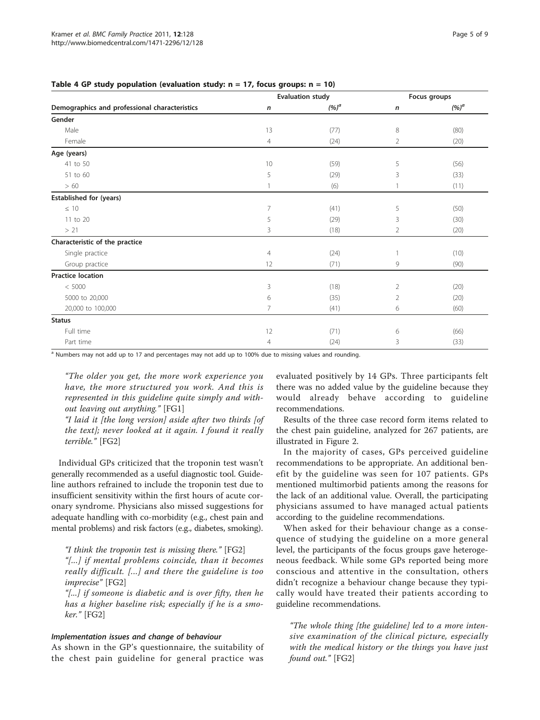|                                               |                | <b>Evaluation study</b> |   | Focus groups |  |
|-----------------------------------------------|----------------|-------------------------|---|--------------|--|
| Demographics and professional characteristics | $\mathsf{n}$   | $(%)^a$                 | n | $(%)^a$      |  |
| Gender                                        |                |                         |   |              |  |
| Male                                          | 13             | (77)                    | 8 | (80)         |  |
| Female                                        | $\overline{4}$ | (24)                    | 2 | (20)         |  |
| Age (years)                                   |                |                         |   |              |  |
| 41 to 50                                      | 10             | (59)                    | 5 | (56)         |  |
| 51 to 60                                      | 5              | (29)                    | 3 | (33)         |  |
| >60                                           |                | (6)                     |   | (11)         |  |
| <b>Established for (years)</b>                |                |                         |   |              |  |
| $\leq 10$                                     | $\overline{7}$ | (41)                    | 5 | (50)         |  |
| 11 to 20                                      | 5              | (29)                    | 3 | (30)         |  |
| > 21                                          | 3              | (18)                    | 2 | (20)         |  |
| Characteristic of the practice                |                |                         |   |              |  |
| Single practice                               | $\overline{4}$ | (24)                    | 1 | (10)         |  |
| Group practice                                | 12             | (71)                    | 9 | (90)         |  |
| <b>Practice location</b>                      |                |                         |   |              |  |
| < 5000                                        | 3              | (18)                    | 2 | (20)         |  |
| 5000 to 20,000                                | 6              | (35)                    | 2 | (20)         |  |
| 20,000 to 100,000                             | 7              | (41)                    | 6 | (60)         |  |
| <b>Status</b>                                 |                |                         |   |              |  |
| Full time                                     | 12             | (71)                    | 6 | (66)         |  |
| Part time                                     | $\overline{4}$ | (24)                    | 3 | (33)         |  |

#### <span id="page-4-0"></span>Table 4 GP study population (evaluation study:  $n = 17$ , focus groups:  $n = 10$ )

<sup>a</sup> Numbers may not add up to 17 and percentages may not add up to 100% due to missing values and rounding.

"The older you get, the more work experience you have, the more structured you work. And this is represented in this guideline quite simply and without leaving out anything." [FG1]

"I laid it [the long version] aside after two thirds [of the text]; never looked at it again. I found it really terrible." [FG2]

Individual GPs criticized that the troponin test wasn't generally recommended as a useful diagnostic tool. Guideline authors refrained to include the troponin test due to insufficient sensitivity within the first hours of acute coronary syndrome. Physicians also missed suggestions for adequate handling with co-morbidity (e.g., chest pain and mental problems) and risk factors (e.g., diabetes, smoking).

"I think the troponin test is missing there." [FG2]

"[...] if mental problems coincide, than it becomes really difficult. [...] and there the guideline is too imprecise" [FG2]

"[...] if someone is diabetic and is over fifty, then he has a higher baseline risk; especially if he is a smoker." [FG2]

#### Implementation issues and change of behaviour

As shown in the GP's questionnaire, the suitability of the chest pain guideline for general practice was

evaluated positively by 14 GPs. Three participants felt there was no added value by the guideline because they would already behave according to guideline recommendations.

Results of the three case record form items related to the chest pain guideline, analyzed for 267 patients, are illustrated in Figure [2.](#page-5-0)

In the majority of cases, GPs perceived guideline recommendations to be appropriate. An additional benefit by the guideline was seen for 107 patients. GPs mentioned multimorbid patients among the reasons for the lack of an additional value. Overall, the participating physicians assumed to have managed actual patients according to the guideline recommendations.

When asked for their behaviour change as a consequence of studying the guideline on a more general level, the participants of the focus groups gave heterogeneous feedback. While some GPs reported being more conscious and attentive in the consultation, others didn't recognize a behaviour change because they typically would have treated their patients according to guideline recommendations.

"The whole thing [the guideline] led to a more intensive examination of the clinical picture, especially with the medical history or the things you have just found out." [FG2]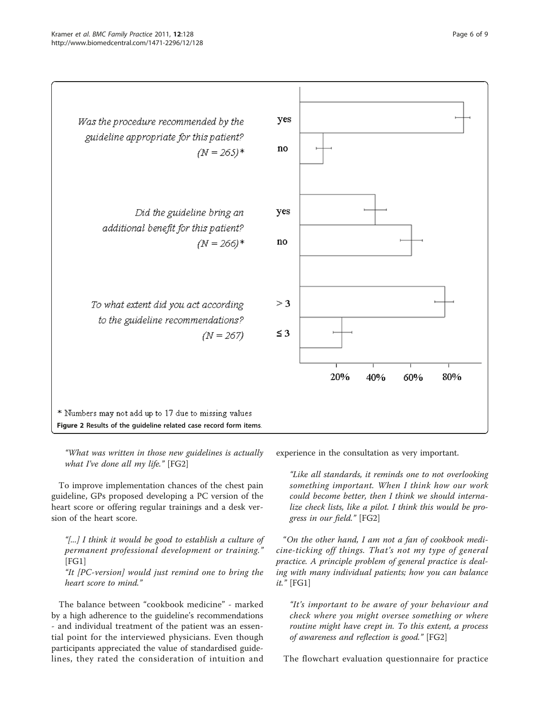<span id="page-5-0"></span>

"What was written in those new guidelines is actually what I've done all my life." [FG2]

To improve implementation chances of the chest pain guideline, GPs proposed developing a PC version of the heart score or offering regular trainings and a desk version of the heart score.

"[...] I think it would be good to establish a culture of permanent professional development or training."  $[FG1]$ 

"It [PC-version] would just remind one to bring the heart score to mind."

The balance between "cookbook medicine" - marked by a high adherence to the guideline's recommendations - and individual treatment of the patient was an essential point for the interviewed physicians. Even though participants appreciated the value of standardised guidelines, they rated the consideration of intuition and experience in the consultation as very important.

"Like all standards, it reminds one to not overlooking something important. When I think how our work could become better, then I think we should internalize check lists, like a pilot. I think this would be progress in our field." [FG2]

"On the other hand, I am not a fan of cookbook medicine-ticking off things. That's not my type of general practice. A principle problem of general practice is dealing with many individual patients; how you can balance it." [FG1]

"It's important to be aware of your behaviour and check where you might oversee something or where routine might have crept in. To this extent, a process of awareness and reflection is good." [FG2]

The flowchart evaluation questionnaire for practice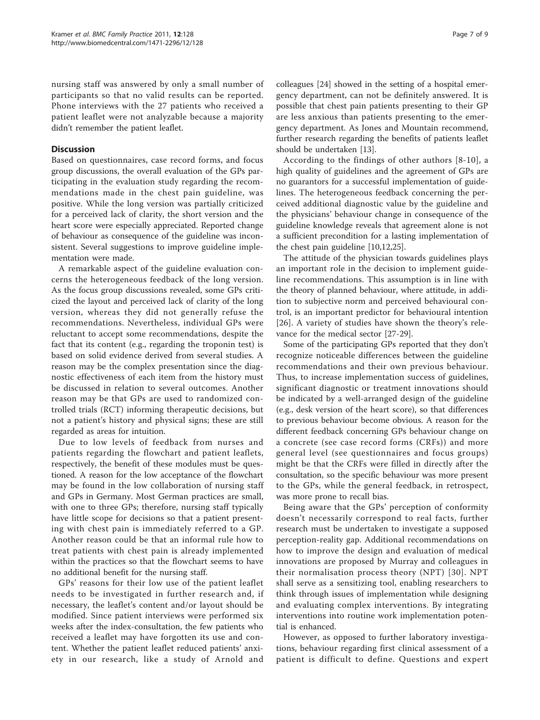nursing staff was answered by only a small number of participants so that no valid results can be reported. Phone interviews with the 27 patients who received a patient leaflet were not analyzable because a majority didn't remember the patient leaflet.

## **Discussion**

Based on questionnaires, case record forms, and focus group discussions, the overall evaluation of the GPs participating in the evaluation study regarding the recommendations made in the chest pain guideline, was positive. While the long version was partially criticized for a perceived lack of clarity, the short version and the heart score were especially appreciated. Reported change of behaviour as consequence of the guideline was inconsistent. Several suggestions to improve guideline implementation were made.

A remarkable aspect of the guideline evaluation concerns the heterogeneous feedback of the long version. As the focus group discussions revealed, some GPs criticized the layout and perceived lack of clarity of the long version, whereas they did not generally refuse the recommendations. Nevertheless, individual GPs were reluctant to accept some recommendations, despite the fact that its content (e.g., regarding the troponin test) is based on solid evidence derived from several studies. A reason may be the complex presentation since the diagnostic effectiveness of each item from the history must be discussed in relation to several outcomes. Another reason may be that GPs are used to randomized controlled trials (RCT) informing therapeutic decisions, but not a patient's history and physical signs; these are still regarded as areas for intuition.

Due to low levels of feedback from nurses and patients regarding the flowchart and patient leaflets, respectively, the benefit of these modules must be questioned. A reason for the low acceptance of the flowchart may be found in the low collaboration of nursing staff and GPs in Germany. Most German practices are small, with one to three GPs; therefore, nursing staff typically have little scope for decisions so that a patient presenting with chest pain is immediately referred to a GP. Another reason could be that an informal rule how to treat patients with chest pain is already implemented within the practices so that the flowchart seems to have no additional benefit for the nursing staff.

GPs' reasons for their low use of the patient leaflet needs to be investigated in further research and, if necessary, the leaflet's content and/or layout should be modified. Since patient interviews were performed six weeks after the index-consultation, the few patients who received a leaflet may have forgotten its use and content. Whether the patient leaflet reduced patients' anxiety in our research, like a study of Arnold and

colleagues [[24](#page-8-0)] showed in the setting of a hospital emergency department, can not be definitely answered. It is possible that chest pain patients presenting to their GP are less anxious than patients presenting to the emergency department. As Jones and Mountain recommend, further research regarding the benefits of patients leaflet should be undertaken [\[13](#page-7-0)].

According to the findings of other authors [[8-10\]](#page-7-0), a high quality of guidelines and the agreement of GPs are no guarantors for a successful implementation of guidelines. The heterogeneous feedback concerning the perceived additional diagnostic value by the guideline and the physicians' behaviour change in consequence of the guideline knowledge reveals that agreement alone is not a sufficient precondition for a lasting implementation of the chest pain guideline [\[10,12,](#page-7-0)[25\]](#page-8-0).

The attitude of the physician towards guidelines plays an important role in the decision to implement guideline recommendations. This assumption is in line with the theory of planned behaviour, where attitude, in addition to subjective norm and perceived behavioural control, is an important predictor for behavioural intention [[26](#page-8-0)]. A variety of studies have shown the theory's relevance for the medical sector [\[27](#page-8-0)-[29\]](#page-8-0).

Some of the participating GPs reported that they don't recognize noticeable differences between the guideline recommendations and their own previous behaviour. Thus, to increase implementation success of guidelines, significant diagnostic or treatment innovations should be indicated by a well-arranged design of the guideline (e.g., desk version of the heart score), so that differences to previous behaviour become obvious. A reason for the different feedback concerning GPs behaviour change on a concrete (see case record forms (CRFs)) and more general level (see questionnaires and focus groups) might be that the CRFs were filled in directly after the consultation, so the specific behaviour was more present to the GPs, while the general feedback, in retrospect, was more prone to recall bias.

Being aware that the GPs' perception of conformity doesn't necessarily correspond to real facts, further research must be undertaken to investigate a supposed perception-reality gap. Additional recommendations on how to improve the design and evaluation of medical innovations are proposed by Murray and colleagues in their normalisation process theory (NPT) [[30\]](#page-8-0). NPT shall serve as a sensitizing tool, enabling researchers to think through issues of implementation while designing and evaluating complex interventions. By integrating interventions into routine work implementation potential is enhanced.

However, as opposed to further laboratory investigations, behaviour regarding first clinical assessment of a patient is difficult to define. Questions and expert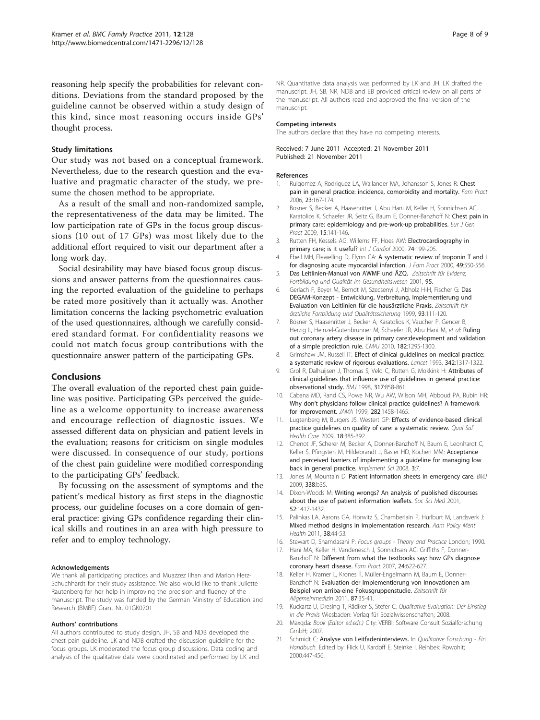<span id="page-7-0"></span>reasoning help specify the probabilities for relevant conditions. Deviations from the standard proposed by the guideline cannot be observed within a study design of this kind, since most reasoning occurs inside GPs' thought process.

#### Study limitations

Our study was not based on a conceptual framework. Nevertheless, due to the research question and the evaluative and pragmatic character of the study, we presume the chosen method to be appropriate.

As a result of the small and non-randomized sample, the representativeness of the data may be limited. The low participation rate of GPs in the focus group discussions (10 out of 17 GPs) was most likely due to the additional effort required to visit our department after a long work day.

Social desirability may have biased focus group discussions and answer patterns from the questionnaires causing the reported evaluation of the guideline to perhaps be rated more positively than it actually was. Another limitation concerns the lacking psychometric evaluation of the used questionnaires, although we carefully considered standard format. For confidentiality reasons we could not match focus group contributions with the questionnaire answer pattern of the participating GPs.

## Conclusions

The overall evaluation of the reported chest pain guideline was positive. Participating GPs perceived the guideline as a welcome opportunity to increase awareness and encourage reflection of diagnostic issues. We assessed different data on physician and patient levels in the evaluation; reasons for criticism on single modules were discussed. In consequence of our study, portions of the chest pain guideline were modified corresponding to the participating GPs' feedback.

By focussing on the assessment of symptoms and the patient's medical history as first steps in the diagnostic process, our guideline focuses on a core domain of general practice: giving GPs confidence regarding their clinical skills and routines in an area with high pressure to refer and to employ technology.

#### Acknowledgements

We thank all participating practices and Muazzez Ilhan and Marion Herz-Schuchhardt for their study assistance. We also would like to thank Juliette Rautenberg for her help in improving the precision and fluency of the manuscript. The study was funded by the German Ministry of Education and Research (BMBF) Grant Nr. 01GK0701

#### Authors' contributions

All authors contributed to study design. JH, SB and NDB developed the chest pain guideline. LK and NDB drafted the discussion guideline for the focus groups. LK moderated the focus group discussions. Data coding and analysis of the qualitative data were coordinated and performed by LK and NR. Quantitative data analysis was performed by LK and JH. LK drafted the manuscript. JH, SB, NR, NDB and EB provided critical review on all parts of the manuscript. All authors read and approved the final version of the manuscript.

#### Competing interests

The authors declare that they have no competing interests.

#### Received: 7 June 2011 Accepted: 21 November 2011 Published: 21 November 2011

#### References

- 1. Ruigomez A, Rodriguez LA, Wallander MA, Johansson S, Jones R: [Chest](http://www.ncbi.nlm.nih.gov/pubmed/16461444?dopt=Abstract) [pain in general practice: incidence, comorbidity and mortality.](http://www.ncbi.nlm.nih.gov/pubmed/16461444?dopt=Abstract) Fam Pract 2006, 23:167-174.
- 2. Bosner S, Becker A, Haasenritter J, Abu Hani M, Keller H, Sonnichsen AC, Karatolios K, Schaefer JR, Seitz G, Baum E, Donner-Banzhoff N: [Chest pain in](http://www.ncbi.nlm.nih.gov/pubmed/19883149?dopt=Abstract) [primary care: epidemiology and pre-work-up probabilities.](http://www.ncbi.nlm.nih.gov/pubmed/19883149?dopt=Abstract) Eur J Gen Pract 2009, 15:141-146.
- 3. Rutten FH, Kessels AG, Willems FF, Hoes AW: [Electrocardiography in](http://www.ncbi.nlm.nih.gov/pubmed/10962122?dopt=Abstract) [primary care; is it useful?](http://www.ncbi.nlm.nih.gov/pubmed/10962122?dopt=Abstract) Int J Cardiol 2000, 74:199-205.
- 4. Ebell MH, Flewelling D, Flynn CA: [A systematic review of troponin T and I](http://www.ncbi.nlm.nih.gov/pubmed/10923557?dopt=Abstract) [for diagnosing acute myocardial infarction.](http://www.ncbi.nlm.nih.gov/pubmed/10923557?dopt=Abstract) J Fam Pract 2000, 49:550-556.
- 5. Das Leitlinien-Manual von AWMF und ÄZQ. Zeitschrift für Evidenz, Fortbildung und Qualität im Gesundheitswesen 2001, 95.
- 6. Gerlach F, Beyer M, Berndt M, Szecsenyi J, Abholz H-H, Fischer G: [Das](http://www.ncbi.nlm.nih.gov/pubmed/19349661?dopt=Abstract) [DEGAM-Konzept - Entwicklung, Verbreitung, Implementierung und](http://www.ncbi.nlm.nih.gov/pubmed/19349661?dopt=Abstract) [Evaluation von Leitlinien für die hausärztliche Praxis.](http://www.ncbi.nlm.nih.gov/pubmed/19349661?dopt=Abstract) Zeitschrift für ärztliche Fortbildung und Qualitätssicherung 1999, 93:111-120.
- 7. Bösner S, Haasenritter J, Becker A, Karatolios K, Vaucher P, Gencer B, Herzig L, Heinzel-Gutenbrunner M, Schaefer JR, Abu Hani M, et al: [Ruling](http://www.ncbi.nlm.nih.gov/pubmed/20603345?dopt=Abstract) [out coronary artery disease in primary care:development and validation](http://www.ncbi.nlm.nih.gov/pubmed/20603345?dopt=Abstract) [of a simple prediction rule.](http://www.ncbi.nlm.nih.gov/pubmed/20603345?dopt=Abstract) CMAJ 2010, 182:1295-1300.
- 8. Grimshaw JM, Russell IT: [Effect of clinical guidelines on medical practice:](http://www.ncbi.nlm.nih.gov/pubmed/7901634?dopt=Abstract) [a systematic review of rigorous evaluations.](http://www.ncbi.nlm.nih.gov/pubmed/7901634?dopt=Abstract) Lancet 1993, 342:1317-1322.
- 9. Grol R, Dalhuijsen J, Thomas S, Veld C, Rutten G, Mokkink H: [Attributes of](http://www.ncbi.nlm.nih.gov/pubmed/9748183?dopt=Abstract) [clinical guidelines that influence use of guidelines in general practice:](http://www.ncbi.nlm.nih.gov/pubmed/9748183?dopt=Abstract) [observational study.](http://www.ncbi.nlm.nih.gov/pubmed/9748183?dopt=Abstract) BMJ 1998, 317:858-861.
- 10. Cabana MD, Rand CS, Powe NR, Wu AW, Wilson MH, Abboud PA, Rubin HR: Why don'[t physicians follow clinical practice guidelines? A framework](http://www.ncbi.nlm.nih.gov/pubmed/10535437?dopt=Abstract) [for improvement.](http://www.ncbi.nlm.nih.gov/pubmed/10535437?dopt=Abstract) JAMA 1999, 282:1458-1465.
- 11. Lugtenberg M, Burgers JS, Westert GP: [Effects of evidence-based clinical](http://www.ncbi.nlm.nih.gov/pubmed/19812102?dopt=Abstract) [practice guidelines on quality of care: a systematic review.](http://www.ncbi.nlm.nih.gov/pubmed/19812102?dopt=Abstract) Qual Saf Health Care 2009, 18:385-392.
- 12. Chenot JF, Scherer M, Becker A, Donner-Banzhoff N, Baum E, Leonhardt C, Keller S, Pfingsten M, Hildebrandt J, Basler HD, Kochen MM: [Acceptance](http://www.ncbi.nlm.nih.gov/pubmed/18257923?dopt=Abstract) [and perceived barriers of implementing a guideline for managing low](http://www.ncbi.nlm.nih.gov/pubmed/18257923?dopt=Abstract) [back in general practice.](http://www.ncbi.nlm.nih.gov/pubmed/18257923?dopt=Abstract) Implement Sci 2008, 3:7.
- 13. Jones M, Mountain D: [Patient information sheets in emergency care.](http://www.ncbi.nlm.nih.gov/pubmed/19297445?dopt=Abstract) BMJ 2009, 338:b35.
- 14. Dixon-Woods M: [Writing wrongs? An analysis of published discourses](http://www.ncbi.nlm.nih.gov/pubmed/11286365?dopt=Abstract) [about the use of patient information leaflets.](http://www.ncbi.nlm.nih.gov/pubmed/11286365?dopt=Abstract) Soc Sci Med 2001, 52:1417-1432.
- 15. Palinkas LA, Aarons GA, Horwitz S, Chamberlain P, Hurlburt M, Landsverk J: [Mixed method designs in implementation research.](http://www.ncbi.nlm.nih.gov/pubmed/20967495?dopt=Abstract) Adm Policy Ment Health 2011, 38:44-53.
- 16. Stewart D, Shamdasani P: Focus groups Theory and Practice London; 1990.
- 17. Hani MA, Keller H, Vandenesch J, Sonnichsen AC, Griffiths F, Donner-Banzhoff N: [Different from what the textbooks say: how GPs diagnose](http://www.ncbi.nlm.nih.gov/pubmed/17971349?dopt=Abstract) [coronary heart disease.](http://www.ncbi.nlm.nih.gov/pubmed/17971349?dopt=Abstract) Fam Pract 2007, 24:622-627.
- 18. Keller H, Kramer L, Krones T, Müller-Engelmann M, Baum E, Donner-Banzhoff N: [Evaluation der Implementierung von Innovationen am](http://www.ncbi.nlm.nih.gov/pubmed/19349661?dopt=Abstract) [Beispiel von arriba-eine Fokusgruppenstudie.](http://www.ncbi.nlm.nih.gov/pubmed/19349661?dopt=Abstract) Zeitschrift für Allgemeinmedizin 2011, 87:35-41.
- 19. Kuckartz U, Dresing T, Rädiker S, Stefer C: Qualitative Evaluation: Der Einstieg in die Praxis Wiesbaden: Verlag für Sozialwissenschaften; 2008.
- 20. Maxqda: Book (Editor ed.eds.) City: VERBI: Software Consult Sozialforschung GmbH; 2007.
- 21. Schmidt C: Analyse von Leitfadeninterviews. In Qualitative Forschung Ein Handbuch. Edited by: Flick U, Kardoff E, Steinke I. Reinbek: Rowohlt; 2000:447-456.